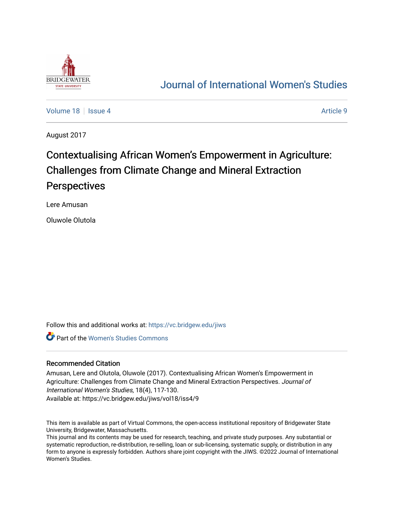

## [Journal of International Women's Studies](https://vc.bridgew.edu/jiws)

[Volume 18](https://vc.bridgew.edu/jiws/vol18) Setus 4 Article 9

August 2017

# Contextualising African Women's Empowerment in Agriculture: Challenges from Climate Change and Mineral Extraction **Perspectives**

Lere Amusan

Oluwole Olutola

Follow this and additional works at: [https://vc.bridgew.edu/jiws](https://vc.bridgew.edu/jiws?utm_source=vc.bridgew.edu%2Fjiws%2Fvol18%2Fiss4%2F9&utm_medium=PDF&utm_campaign=PDFCoverPages)

Part of the [Women's Studies Commons](http://network.bepress.com/hgg/discipline/561?utm_source=vc.bridgew.edu%2Fjiws%2Fvol18%2Fiss4%2F9&utm_medium=PDF&utm_campaign=PDFCoverPages) 

#### Recommended Citation

Amusan, Lere and Olutola, Oluwole (2017). Contextualising African Women's Empowerment in Agriculture: Challenges from Climate Change and Mineral Extraction Perspectives. Journal of International Women's Studies, 18(4), 117-130.

Available at: https://vc.bridgew.edu/jiws/vol18/iss4/9

This item is available as part of Virtual Commons, the open-access institutional repository of Bridgewater State University, Bridgewater, Massachusetts.

This journal and its contents may be used for research, teaching, and private study purposes. Any substantial or systematic reproduction, re-distribution, re-selling, loan or sub-licensing, systematic supply, or distribution in any form to anyone is expressly forbidden. Authors share joint copyright with the JIWS. ©2022 Journal of International Women's Studies.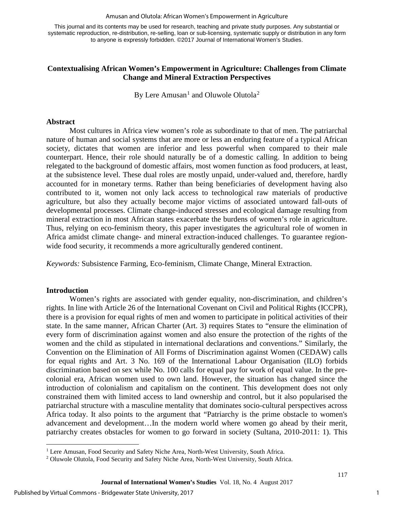#### Amusan and Olutola: African Women's Empowerment in Agriculture

This journal and its contents may be used for research, teaching and private study purposes. Any substantial or systematic reproduction, re-distribution, re-selling, loan or sub-licensing, systematic supply or distribution in any form to anyone is expressly forbidden. ©2017 Journal of International Women's Studies.

### **Contextualising African Women's Empowerment in Agriculture: Challenges from Climate Change and Mineral Extraction Perspectives**

By Lere Amusan<sup>[1](#page-1-0)</sup> and Oluwole Olutola<sup>[2](#page-1-1)</sup>

#### **Abstract**

Most cultures in Africa view women's role as subordinate to that of men. The patriarchal nature of human and social systems that are more or less an enduring feature of a typical African society, dictates that women are inferior and less powerful when compared to their male counterpart. Hence, their role should naturally be of a domestic calling. In addition to being relegated to the background of domestic affairs, most women function as food producers, at least, at the subsistence level. These dual roles are mostly unpaid, under-valued and, therefore, hardly accounted for in monetary terms. Rather than being beneficiaries of development having also contributed to it, women not only lack access to technological raw materials of productive agriculture, but also they actually become major victims of associated untoward fall-outs of developmental processes. Climate change-induced stresses and ecological damage resulting from mineral extraction in most African states exacerbate the burdens of women's role in agriculture. Thus, relying on eco-feminism theory, this paper investigates the agricultural role of women in Africa amidst climate change- and mineral extraction-induced challenges. To guarantee regionwide food security, it recommends a more agriculturally gendered continent.

*Keywords:* Subsistence Farming, Eco-feminism, Climate Change, Mineral Extraction.

#### **Introduction**

l

Women's rights are associated with gender equality, non-discrimination, and children's rights. In line with Article 26 of the International Covenant on Civil and Political Rights (ICCPR), there is a provision for equal rights of men and women to participate in political activities of their state. In the same manner, African Charter (Art. 3) requires States to "ensure the elimination of every form of discrimination against women and also ensure the protection of the rights of the women and the child as stipulated in international declarations and conventions." Similarly, the Convention on the Elimination of All Forms of Discrimination against Women (CEDAW) calls for equal rights and Art. 3 No. 169 of the International Labour Organisation (ILO) forbids discrimination based on sex while No. 100 calls for equal pay for work of equal value. In the precolonial era, African women used to own land. However, the situation has changed since the introduction of colonialism and capitalism on the continent. This development does not only constrained them with limited access to land ownership and control, but it also popularised the patriarchal structure with a masculine mentality that dominates socio-cultural perspectives across Africa today. It also points to the argument that "Patriarchy is the prime obstacle to women's advancement and development…In the modern world where women go ahead by their merit, patriarchy creates obstacles for women to go forward in society (Sultana, 2010-2011: 1). This

<span id="page-1-1"></span><span id="page-1-0"></span><sup>&</sup>lt;sup>1</sup> Lere Amusan, Food Security and Safety Niche Area, North-West University, South Africa. <sup>2</sup> Oluwole Olutola, Food Security and Safety Niche Area, North-West University, South Africa.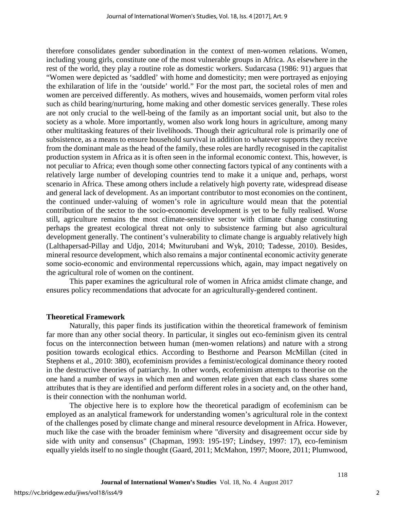therefore consolidates gender subordination in the context of men-women relations. Women, including young girls, constitute one of the most vulnerable groups in Africa. As elsewhere in the rest of the world, they play a routine role as domestic workers. Sudarcasa (1986: 91) argues that "Women were depicted as 'saddled' with home and domesticity; men were portrayed as enjoying the exhilaration of life in the 'outside' world." For the most part, the societal roles of men and women are perceived differently. As mothers, wives and housemaids, women perform vital roles such as child bearing/nurturing, home making and other domestic services generally. These roles are not only crucial to the well-being of the family as an important social unit, but also to the society as a whole. More importantly, women also work long hours in agriculture, among many other multitasking features of their livelihoods. Though their agricultural role is primarily one of subsistence, as a means to ensure household survival in addition to whatever supports they receive from the dominant male as the head of the family, these roles are hardly recognised in the capitalist production system in Africa as it is often seen in the informal economic context. This, however, is not peculiar to Africa; even though some other connecting factors typical of any continents with a relatively large number of developing countries tend to make it a unique and, perhaps, worst scenario in Africa. These among others include a relatively high poverty rate, widespread disease and general lack of development. As an important contributor to most economies on the continent, the continued under-valuing of women's role in agriculture would mean that the potential contribution of the sector to the socio-economic development is yet to be fully realised. Worse still, agriculture remains the most climate-sensitive sector with climate change constituting perhaps the greatest ecological threat not only to subsistence farming but also agricultural development generally. The continent's vulnerability to climate change is arguably relatively high (Lalthapersad-Pillay and Udjo, 2014; Mwiturubani and Wyk, 2010; Tadesse, 2010). Besides, mineral resource development, which also remains a major continental economic activity generate some socio-economic and environmental repercussions which, again, may impact negatively on the agricultural role of women on the continent.

This paper examines the agricultural role of women in Africa amidst climate change, and ensures policy recommendations that advocate for an agriculturally-gendered continent.

#### **Theoretical Framework**

Naturally, this paper finds its justification within the theoretical framework of feminism far more than any other social theory. In particular, it singles out eco-feminism given its central focus on the interconnection between human (men-women relations) and nature with a strong position towards ecological ethics. According to Besthorne and Pearson McMillan (cited in Stephens et al., 2010: 380), ecofeminism provides a feminist/ecological dominance theory rooted in the destructive theories of patriarchy. In other words, ecofeminism attempts to theorise on the one hand a number of ways in which men and women relate given that each class shares some attributes that is they are identified and perform different roles in a society and, on the other hand, is their connection with the nonhuman world.

The objective here is to explore how the theoretical paradigm of ecofeminism can be employed as an analytical framework for understanding women's agricultural role in the context of the challenges posed by climate change and mineral resource development in Africa. However, much like the case with the broader feminism where "diversity and disagreement occur side by side with unity and consensus" (Chapman, 1993: 195-197; Lindsey, 1997: 17), eco-feminism equally yields itself to no single thought (Gaard, 2011; McMahon, 1997; Moore, 2011; Plumwood,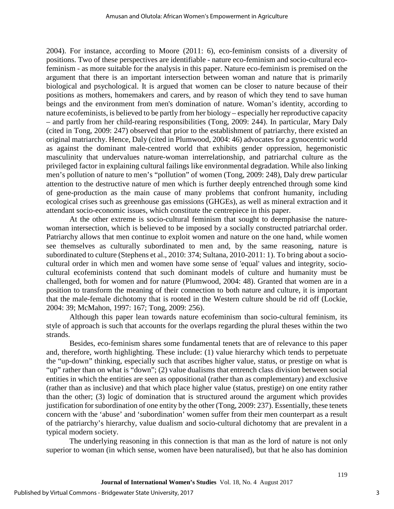2004). For instance, according to Moore (2011: 6), eco-feminism consists of a diversity of positions. Two of these perspectives are identifiable - nature eco-feminism and socio-cultural ecofeminism - as more suitable for the analysis in this paper. Nature eco-feminism is premised on the argument that there is an important intersection between woman and nature that is primarily biological and psychological. It is argued that women can be closer to nature because of their positions as mothers, homemakers and carers, and by reason of which they tend to save human beings and the environment from men's domination of nature. Woman's identity, according to nature ecofeminists, is believed to be partly from her biology – especially her reproductive capacity – and partly from her child-rearing responsibilities (Tong, 2009: 244). In particular, Mary Daly (cited in Tong, 2009: 247) observed that prior to the establishment of patriarchy, there existed an original matriarchy. Hence, Daly (cited in Plumwood, 2004: 46) advocates for a gynocentric world as against the dominant male-centred world that exhibits gender oppression, hegemonistic masculinity that undervalues nature-woman interrelationship, and patriarchal culture as the privileged factor in explaining cultural failings like environmental degradation. While also linking men's pollution of nature to men's "pollution" of women (Tong, 2009: 248), Daly drew particular attention to the destructive nature of men which is further deeply entrenched through some kind of gene-production as the main cause of many problems that confront humanity, including ecological crises such as greenhouse gas emissions (GHGEs), as well as mineral extraction and it attendant socio-economic issues, which constitute the centrepiece in this paper.

At the other extreme is socio-cultural feminism that sought to deemphasise the naturewoman intersection, which is believed to be imposed by a socially constructed patriarchal order. Patriarchy allows that men continue to exploit women and nature on the one hand, while women see themselves as culturally subordinated to men and, by the same reasoning, nature is subordinated to culture (Stephens et al., 2010: 374; Sultana, 2010-2011: 1). To bring about a sociocultural order in which men and women have some sense of 'equal' values and integrity, sociocultural ecofeminists contend that such dominant models of culture and humanity must be challenged, both for women and for nature (Plumwood, 2004: 48). Granted that women are in a position to transform the meaning of their connection to both nature and culture, it is important that the male-female dichotomy that is rooted in the Western culture should be rid off (Lockie, 2004: 39; McMahon, 1997: 167; Tong, 2009: 256).

Although this paper lean towards nature ecofeminism than socio-cultural feminism, its style of approach is such that accounts for the overlaps regarding the plural theses within the two strands.

Besides, eco-feminism shares some fundamental tenets that are of relevance to this paper and, therefore, worth highlighting. These include: (1) value hierarchy which tends to perpetuate the "up-down" thinking, especially such that ascribes higher value, status, or prestige on what is "up" rather than on what is "down"; (2) value dualisms that entrench class division between social entities in which the entities are seen as oppositional (rather than as complementary) and exclusive (rather than as inclusive) and that which place higher value (status, prestige) on one entity rather than the other; (3) logic of domination that is structured around the argument which provides justification for subordination of one entity by the other (Tong, 2009: 237). Essentially, these tenets concern with the 'abuse' and 'subordination' women suffer from their men counterpart as a result of the patriarchy's hierarchy, value dualism and socio-cultural dichotomy that are prevalent in a typical modern society.

The underlying reasoning in this connection is that man as the lord of nature is not only superior to woman (in which sense, women have been naturalised), but that he also has dominion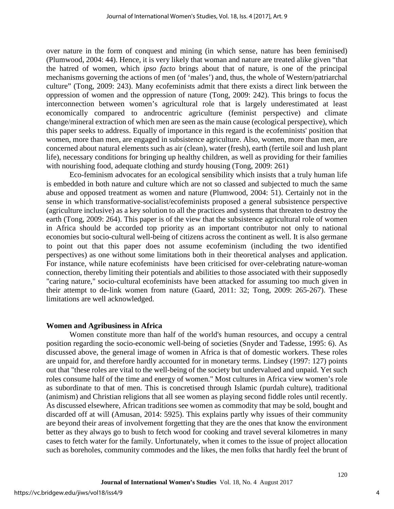over nature in the form of conquest and mining (in which sense, nature has been feminised) (Plumwood, 2004: 44). Hence, it is very likely that woman and nature are treated alike given "that the hatred of women, which *ipso facto* brings about that of nature, is one of the principal mechanisms governing the actions of men (of 'males') and, thus, the whole of Western/patriarchal culture" (Tong, 2009: 243). Many ecofeminists admit that there exists a direct link between the oppression of women and the oppression of nature (Tong, 2009: 242). This brings to focus the interconnection between women's agricultural role that is largely underestimated at least economically compared to androcentric agriculture (feminist perspective) and climate change/mineral extraction of which men are seen as the main cause (ecological perspective), which this paper seeks to address. Equally of importance in this regard is the ecofeminists' position that women, more than men, are engaged in subsistence agriculture. Also, women, more than men, are concerned about natural elements such as air (clean), water (fresh), earth (fertile soil and lush plant life), necessary conditions for bringing up healthy children, as well as providing for their families with nourishing food, adequate clothing and sturdy housing (Tong, 2009: 261)

Eco-feminism advocates for an ecological sensibility which insists that a truly human life is embedded in both nature and culture which are not so classed and subjected to much the same abuse and opposed treatment as women and nature (Plumwood, 2004: 51). Certainly not in the sense in which transformative-socialist/ecofeminists proposed a general subsistence perspective (agriculture inclusive) as a key solution to all the practices and systems that threaten to destroy the earth (Tong, 2009: 264). This paper is of the view that the subsistence agricultural role of women in Africa should be accorded top priority as an important contributor not only to national economies but socio-cultural well-being of citizens across the continent as well. It is also germane to point out that this paper does not assume ecofeminism (including the two identified perspectives) as one without some limitations both in their theoretical analyses and application. For instance, while nature ecofeminists have been criticised for over-celebrating nature-woman connection, thereby limiting their potentials and abilities to those associated with their supposedly "caring nature," socio-cultural ecofeminists have been attacked for assuming too much given in their attempt to de-link women from nature (Gaard, 2011: 32; Tong, 2009: 265-267). These limitations are well acknowledged.

#### **Women and Agribusiness in Africa**

Women constitute more than half of the world's human resources, and occupy a central position regarding the socio-economic well-being of societies (Snyder and Tadesse, 1995: 6). As discussed above, the general image of women in Africa is that of domestic workers. These roles are unpaid for, and therefore hardly accounted for in monetary terms. Lindsey (1997: 127) points out that "these roles are vital to the well-being of the society but undervalued and unpaid. Yet such roles consume half of the time and energy of women." Most cultures in Africa view women's role as subordinate to that of men. This is concretised through Islamic (purdah culture), traditional (animism) and Christian religions that all see women as playing second fiddle roles until recently. As discussed elsewhere, African traditions see women as commodity that may be sold, bought and discarded off at will (Amusan, 2014: 5925). This explains partly why issues of their community are beyond their areas of involvement forgetting that they are the ones that know the environment better as they always go to bush to fetch wood for cooking and travel several kilometres in many cases to fetch water for the family. Unfortunately, when it comes to the issue of project allocation such as boreholes, community commodes and the likes, the men folks that hardly feel the brunt of

4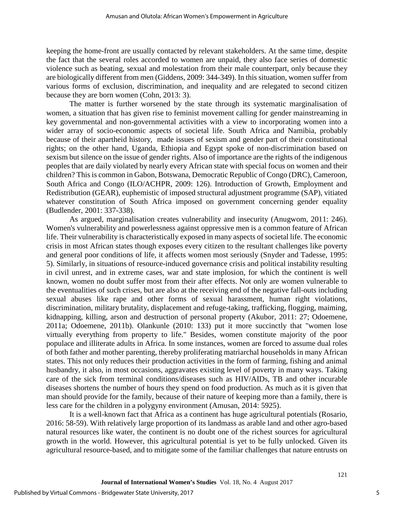keeping the home-front are usually contacted by relevant stakeholders. At the same time, despite the fact that the several roles accorded to women are unpaid, they also face series of domestic violence such as beating, sexual and molestation from their male counterpart, only because they are biologically different from men (Giddens, 2009: 344-349). In this situation, women suffer from various forms of exclusion, discrimination, and inequality and are relegated to second citizen because they are born women (Cohn, 2013: 3).

The matter is further worsened by the state through its systematic marginalisation of women, a situation that has given rise to feminist movement calling for gender mainstreaming in key governmental and non-governmental activities with a view to incorporating women into a wider array of socio-economic aspects of societal life. South Africa and Namibia, probably because of their apartheid history, made issues of sexism and gender part of their constitutional rights; on the other hand, Uganda, Ethiopia and Egypt spoke of non-discrimination based on sexism but silence on the issue of gender rights. Also of importance are the rights of the indigenous peoples that are daily violated by nearly every African state with special focus on women and their children? This is common in Gabon, Botswana, Democratic Republic of Congo (DRC), Cameroon, South Africa and Congo (ILO/ACHPR, 2009: 126). Introduction of Growth, Employment and Redistribution (GEAR), euphemistic of imposed structural adjustment programme (SAP), vitiated whatever constitution of South Africa imposed on government concerning gender equality (Budlender, 2001: 337-338).

As argued, marginalisation creates vulnerability and insecurity (Anugwom, 2011: 246). Women's vulnerability and powerlessness against oppressive men is a common feature of African life. Their vulnerability is characteristically exposed in many aspects of societal life. The economic crisis in most African states though exposes every citizen to the resultant challenges like poverty and general poor conditions of life, it affects women most seriously (Snyder and Tadesse, 1995: 5). Similarly, in situations of resource-induced governance crisis and political instability resulting in civil unrest, and in extreme cases, war and state implosion, for which the continent is well known, women no doubt suffer most from their after effects. Not only are women vulnerable to the eventualities of such crises, but are also at the receiving end of the negative fall-outs including sexual abuses like rape and other forms of sexual harassment, human right violations, discrimination, military brutality, displacement and refuge-taking, trafficking, flogging, maiming, kidnapping, killing, arson and destruction of personal property (Akubor, 2011: 27; Odoemene, 2011a; Odoemene, 2011b). Olankunle (2010: 133) put it more succinctly that "women lose virtually everything from property to life." Besides, women constitute majority of the poor populace and illiterate adults in Africa. In some instances, women are forced to assume dual roles of both father and mother parenting, thereby proliferating matriarchal households in many African states. This not only reduces their production activities in the form of farming, fishing and animal husbandry, it also, in most occasions, aggravates existing level of poverty in many ways. Taking care of the sick from terminal conditions/diseases such as HIV/AIDs, TB and other incurable diseases shortens the number of hours they spend on food production. As much as it is given that man should provide for the family, because of their nature of keeping more than a family, there is less care for the children in a polygyny environment (Amusan, 2014: 5925).

It is a well-known fact that Africa as a continent has huge agricultural potentials (Rosario, 2016: 58-59). With relatively large proportion of its landmass as arable land and other agro-based natural resources like water, the continent is no doubt one of the richest sources for agricultural growth in the world. However, this agricultural potential is yet to be fully unlocked. Given its agricultural resource-based, and to mitigate some of the familiar challenges that nature entrusts on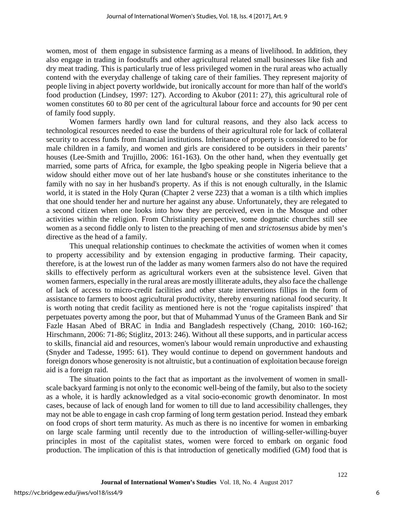women, most of them engage in subsistence farming as a means of livelihood. In addition, they also engage in trading in foodstuffs and other agricultural related small businesses like fish and dry meat trading. This is particularly true of less privileged women in the rural areas who actually contend with the everyday challenge of taking care of their families. They represent majority of people living in abject poverty worldwide, but ironically account for more than half of the world's food production (Lindsey, 1997: 127). According to Akubor (2011: 27), this agricultural role of women constitutes 60 to 80 per cent of the agricultural labour force and accounts for 90 per cent of family food supply.

Women farmers hardly own land for cultural reasons, and they also lack access to technological resources needed to ease the burdens of their agricultural role for lack of collateral security to access funds from financial institutions. Inheritance of property is considered to be for male children in a family, and women and girls are considered to be outsiders in their parents' houses (Lee-Smith and Trujillo, 2006: 161-163). On the other hand, when they eventually get married, some parts of Africa, for example, the Igbo speaking people in Nigeria believe that a widow should either move out of her late husband's house or she constitutes inheritance to the family with no say in her husband's property. As if this is not enough culturally, in the Islamic world, it is stated in the Holy Quran (Chapter 2 verse 223) that a woman is a tilth which implies that one should tender her and nurture her against any abuse. Unfortunately, they are relegated to a second citizen when one looks into how they are perceived, even in the Mosque and other activities within the religion. From Christianity perspective, some dogmatic churches still see women as a second fiddle only to listen to the preaching of men and *strictosensus* abide by men's directive as the head of a family.

This unequal relationship continues to checkmate the activities of women when it comes to property accessibility and by extension engaging in productive farming. Their capacity, therefore, is at the lowest run of the ladder as many women farmers also do not have the required skills to effectively perform as agricultural workers even at the subsistence level. Given that women farmers, especially in the rural areas are mostly illiterate adults, they also face the challenge of lack of access to micro-credit facilities and other state interventions fillips in the form of assistance to farmers to boost agricultural productivity, thereby ensuring national food security. It is worth noting that credit facility as mentioned here is not the 'rogue capitalists inspired' that perpetuates poverty among the poor, but that of Muhammad Yunus of the Grameen Bank and Sir Fazle Hasan Abed of BRAC in India and Bangladesh respectively (Chang, 2010: 160-162; Hirschmann, 2006: 71-86; Stiglitz, 2013: 246). Without all these supports, and in particular access to skills, financial aid and resources, women's labour would remain unproductive and exhausting (Snyder and Tadesse, 1995: 61). They would continue to depend on government handouts and foreign donors whose generosity is not altruistic, but a continuation of exploitation because foreign aid is a foreign raid.

The situation points to the fact that as important as the involvement of women in smallscale backyard farming is not only to the economic well-being of the family, but also to the society as a whole, it is hardly acknowledged as a vital socio-economic growth denominator. In most cases, because of lack of enough land for women to till due to land accessibility challenges, they may not be able to engage in cash crop farming of long term gestation period. Instead they embark on food crops of short term maturity. As much as there is no incentive for women in embarking on large scale farming until recently due to the introduction of willing-seller-willing-buyer principles in most of the capitalist states, women were forced to embark on organic food production. The implication of this is that introduction of genetically modified (GM) food that is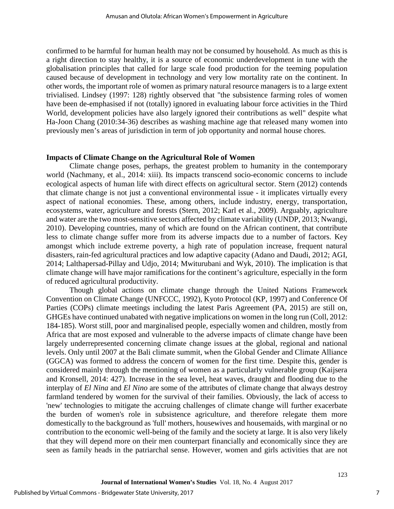confirmed to be harmful for human health may not be consumed by household. As much as this is a right direction to stay healthy, it is a source of economic underdevelopment in tune with the globalisation principles that called for large scale food production for the teeming population caused because of development in technology and very low mortality rate on the continent. In other words, the important role of women as primary natural resource managers is to a large extent trivialised. Lindsey (1997: 128) rightly observed that "the subsistence farming roles of women have been de-emphasised if not (totally) ignored in evaluating labour force activities in the Third World, development policies have also largely ignored their contributions as well" despite what Ha-Joon Chang (2010:34-36) describes as washing machine age that released many women into previously men's areas of jurisdiction in term of job opportunity and normal house chores.

#### **Impacts of Climate Change on the Agricultural Role of Women**

Climate change poses, perhaps, the greatest problem to humanity in the contemporary world (Nachmany, et al., 2014: xiii). Its impacts transcend socio-economic concerns to include ecological aspects of human life with direct effects on agricultural sector. Stern (2012) contends that climate change is not just a conventional environmental issue - it implicates virtually every aspect of national economies. These, among others, include industry, energy, transportation, ecosystems, water, agriculture and forests (Stern, 2012; Karl et al., 2009). Arguably, agriculture and water are the two most-sensitive sectors affected by climate variability (UNDP, 2013; Nwangi, 2010). Developing countries, many of which are found on the African continent, that contribute less to climate change suffer more from its adverse impacts due to a number of factors. Key amongst which include extreme poverty, a high rate of population increase, frequent natural disasters, rain-fed agricultural practices and low adaptive capacity (Adano and Daudi, 2012; AGI, 2014; Lalthapersad-Pillay and Udjo, 2014; Mwiturubani and Wyk, 2010). The implication is that climate change will have major ramifications for the continent's agriculture, especially in the form of reduced agricultural productivity.

Though global actions on climate change through the United Nations Framework Convention on Climate Change (UNFCCC, 1992), Kyoto Protocol (KP, 1997) and Conference Of Parties (COPs) climate meetings including the latest Paris Agreement (PA, 2015) are still on, GHGEs have continued unabated with negative implications on women in the long run (Coll, 2012: 184-185). Worst still, poor and marginalised people, especially women and children, mostly from Africa that are most exposed and vulnerable to the adverse impacts of climate change have been largely underrepresented concerning climate change issues at the global, regional and national levels. Only until 2007 at the Bali climate summit, when the Global Gender and Climate Alliance (GGCA) was formed to address the concern of women for the first time. Despite this, gender is considered mainly through the mentioning of women as a particularly vulnerable group (Kaijsera and Kronsell, 2014: 427). Increase in the sea level, heat waves, draught and flooding due to the interplay of *El Nina* and *El Nino* are some of the attributes of climate change that always destroy farmland tendered by women for the survival of their families. Obviously, the lack of access to 'new' technologies to mitigate the accruing challenges of climate change will further exacerbate the burden of women's role in subsistence agriculture, and therefore relegate them more domestically to the background as 'full' mothers, housewives and housemaids, with marginal or no contribution to the economic well-being of the family and the society at large. It is also very likely that they will depend more on their men counterpart financially and economically since they are seen as family heads in the patriarchal sense. However, women and girls activities that are not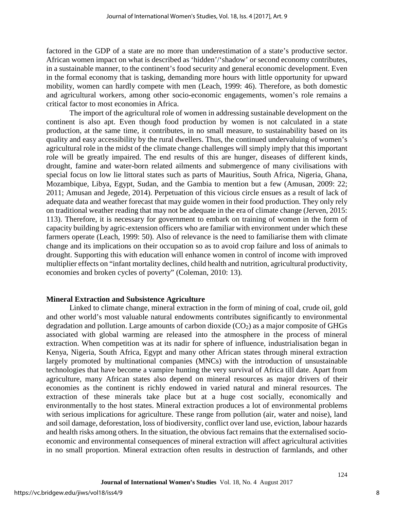factored in the GDP of a state are no more than underestimation of a state's productive sector. African women impact on what is described as 'hidden'/'shadow' or second economy contributes, in a sustainable manner, to the continent's food security and general economic development. Even in the formal economy that is tasking, demanding more hours with little opportunity for upward mobility, women can hardly compete with men (Leach, 1999: 46). Therefore, as both domestic and agricultural workers, among other socio-economic engagements, women's role remains a critical factor to most economies in Africa.

The import of the agricultural role of women in addressing sustainable development on the continent is also apt. Even though food production by women is not calculated in a state production, at the same time, it contributes, in no small measure, to sustainability based on its quality and easy accessibility by the rural dwellers. Thus, the continued undervaluing of women's agricultural role in the midst of the climate change challenges will simply imply that this important role will be greatly impaired. The end results of this are hunger, diseases of different kinds, drought, famine and water-born related ailments and submergence of many civilisations with special focus on low lie littoral states such as parts of Mauritius, South Africa, Nigeria, Ghana, Mozambique, Libya, Egypt, Sudan, and the Gambia to mention but a few (Amusan, 2009: 22; 2011; Amusan and Jegede, 2014). Perpetuation of this vicious circle ensues as a result of lack of adequate data and weather forecast that may guide women in their food production. They only rely on traditional weather reading that may not be adequate in the era of climate change (Jerven, 2015: 113). Therefore, it is necessary for government to embark on training of women in the form of capacity building by agric-extension officers who are familiar with environment under which these farmers operate (Leach, 1999: 50). Also of relevance is the need to familiarise them with climate change and its implications on their occupation so as to avoid crop failure and loss of animals to drought. Supporting this with education will enhance women in control of income with improved multiplier effects on "infant mortality declines, child health and nutrition, agricultural productivity, economies and broken cycles of poverty" (Coleman, 2010: 13).

#### **Mineral Extraction and Subsistence Agriculture**

Linked to climate change, mineral extraction in the form of mining of coal, crude oil, gold and other world's most valuable natural endowments contributes significantly to environmental degradation and pollution. Large amounts of carbon dioxide  $(CO<sub>2</sub>)$  as a major composite of GHGs associated with global warming are released into the atmosphere in the process of mineral extraction. When competition was at its nadir for sphere of influence, industrialisation began in Kenya, Nigeria, South Africa, Egypt and many other African states through mineral extraction largely promoted by multinational companies (MNCs) with the introduction of unsustainable technologies that have become a vampire hunting the very survival of Africa till date. Apart from agriculture, many African states also depend on mineral resources as major drivers of their economies as the continent is richly endowed in varied natural and mineral resources. The extraction of these minerals take place but at a huge cost socially, economically and environmentally to the host states. Mineral extraction produces a lot of environmental problems with serious implications for agriculture. These range from pollution (air, water and noise), land and soil damage, deforestation, loss of biodiversity, conflict over land use, eviction, labour hazards and health risks among others. In the situation, the obvious fact remains that the externalised socioeconomic and environmental consequences of mineral extraction will affect agricultural activities in no small proportion. Mineral extraction often results in destruction of farmlands, and other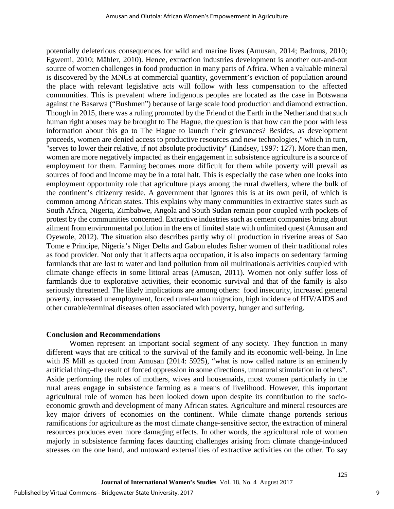potentially deleterious consequences for wild and marine lives (Amusan, 2014; Badmus, 2010; Egwemi, 2010; Mähler, 2010). Hence, extraction industries development is another out-and-out source of women challenges in food production in many parts of Africa. When a valuable mineral is discovered by the MNCs at commercial quantity, government's eviction of population around the place with relevant legislative acts will follow with less compensation to the affected communities. This is prevalent where indigenous peoples are located as the case in Botswana against the Basarwa ("Bushmen") because of large scale food production and diamond extraction. Though in 2015, there was a ruling promoted by the Friend of the Earth in the Netherland that such human right abuses may be brought to The Hague, the question is that how can the poor with less information about this go to The Hague to launch their grievances? Besides, as development proceeds, women are denied access to productive resources and new technologies," which in turn, "serves to lower their relative, if not absolute productivity" (Lindsey, 1997: 127). More than men, women are more negatively impacted as their engagement in subsistence agriculture is a source of employment for them. Farming becomes more difficult for them while poverty will prevail as sources of food and income may be in a total halt. This is especially the case when one looks into employment opportunity role that agriculture plays among the rural dwellers, where the bulk of the continent's citizenry reside. A government that ignores this is at its own peril, of which is common among African states. This explains why many communities in extractive states such as South Africa, Nigeria, Zimbabwe, Angola and South Sudan remain poor coupled with pockets of protest by the communities concerned. Extractive industries such as cement companies bring about ailment from environmental pollution in the era of limited state with unlimited quest (Amusan and Oyewole, 2012). The situation also describes partly why oil production in riverine areas of Sao Tome e Principe, Nigeria's Niger Delta and Gabon eludes fisher women of their traditional roles as food provider. Not only that it affects aqua occupation, it is also impacts on sedentary farming farmlands that are lost to water and land pollution from oil multinationals activities coupled with climate change effects in some littoral areas (Amusan, 2011). Women not only suffer loss of farmlands due to explorative activities, their economic survival and that of the family is also seriously threatened. The likely implications are among others: food insecurity, increased general poverty, increased unemployment, forced rural-urban migration, high incidence of HIV/AIDS and other curable/terminal diseases often associated with poverty, hunger and suffering.

#### **Conclusion and Recommendations**

Women represent an important social segment of any society. They function in many different ways that are critical to the survival of the family and its economic well-being. In line with JS Mill as quoted from Amusan (2014: 5925), "what is now called nature is an eminently artificial thing–the result of forced oppression in some directions, unnatural stimulation in others". Aside performing the roles of mothers, wives and housemaids, most women particularly in the rural areas engage in subsistence farming as a means of livelihood. However, this important agricultural role of women has been looked down upon despite its contribution to the socioeconomic growth and development of many African states. Agriculture and mineral resources are key major drivers of economies on the continent. While climate change portends serious ramifications for agriculture as the most climate change-sensitive sector, the extraction of mineral resources produces even more damaging effects. In other words, the agricultural role of women majorly in subsistence farming faces daunting challenges arising from climate change-induced stresses on the one hand, and untoward externalities of extractive activities on the other. To say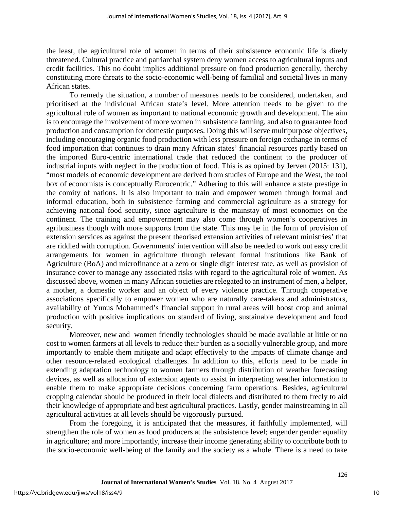the least, the agricultural role of women in terms of their subsistence economic life is direly threatened. Cultural practice and patriarchal system deny women access to agricultural inputs and credit facilities. This no doubt implies additional pressure on food production generally, thereby constituting more threats to the socio-economic well-being of familial and societal lives in many African states.

To remedy the situation, a number of measures needs to be considered, undertaken, and prioritised at the individual African state's level. More attention needs to be given to the agricultural role of women as important to national economic growth and development. The aim is to encourage the involvement of more women in subsistence farming, and also to guarantee food production and consumption for domestic purposes. Doing this will serve multipurpose objectives, including encouraging organic food production with less pressure on foreign exchange in terms of food importation that continues to drain many African states' financial resources partly based on the imported Euro-centric international trade that reduced the continent to the producer of industrial inputs with neglect in the production of food. This is as opined by Jerven (2015: 131), "most models of economic development are derived from studies of Europe and the West, the tool box of economists is conceptually Eurocentric." Adhering to this will enhance a state prestige in the comity of nations. It is also important to train and empower women through formal and informal education, both in subsistence farming and commercial agriculture as a strategy for achieving national food security, since agriculture is the mainstay of most economies on the continent. The training and empowerment may also come through women's cooperatives in agribusiness though with more supports from the state. This may be in the form of provision of extension services as against the present theorised extension activities of relevant ministries' that are riddled with corruption. Governments' intervention will also be needed to work out easy credit arrangements for women in agriculture through relevant formal institutions like Bank of Agriculture (BoA) and microfinance at a zero or single digit interest rate, as well as provision of insurance cover to manage any associated risks with regard to the agricultural role of women. As discussed above, women in many African societies are relegated to an instrument of men, a helper, a mother, a domestic worker and an object of every violence practice. Through cooperative associations specifically to empower women who are naturally care-takers and administrators, availability of Yunus Mohammed's financial support in rural areas will boost crop and animal production with positive implications on standard of living, sustainable development and food security.

Moreover, new and women friendly technologies should be made available at little or no cost to women farmers at all levels to reduce their burden as a socially vulnerable group, and more importantly to enable them mitigate and adapt effectively to the impacts of climate change and other resource-related ecological challenges. In addition to this, efforts need to be made in extending adaptation technology to women farmers through distribution of weather forecasting devices, as well as allocation of extension agents to assist in interpreting weather information to enable them to make appropriate decisions concerning farm operations. Besides, agricultural cropping calendar should be produced in their local dialects and distributed to them freely to aid their knowledge of appropriate and best agricultural practices. Lastly, gender mainstreaming in all agricultural activities at all levels should be vigorously pursued.

From the foregoing, it is anticipated that the measures, if faithfully implemented, will strengthen the role of women as food producers at the subsistence level; engender gender equality in agriculture; and more importantly, increase their income generating ability to contribute both to the socio-economic well-being of the family and the society as a whole. There is a need to take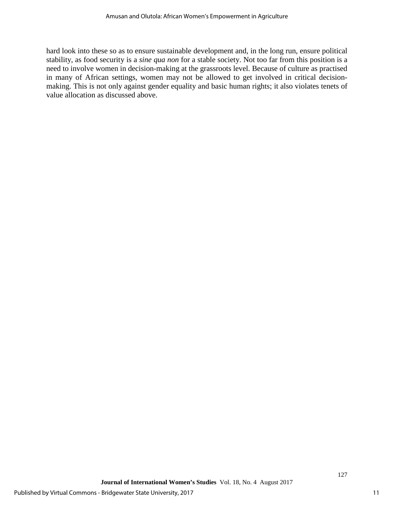hard look into these so as to ensure sustainable development and, in the long run, ensure political stability, as food security is a *sine qua non* for a stable society. Not too far from this position is a need to involve women in decision-making at the grassroots level. Because of culture as practised in many of African settings, women may not be allowed to get involved in critical decisionmaking. This is not only against gender equality and basic human rights; it also violates tenets of value allocation as discussed above.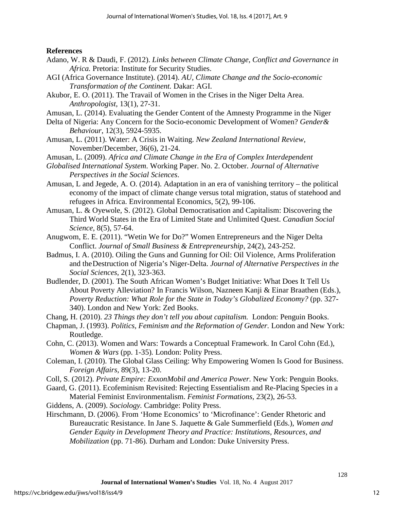**References**

- Adano, W. R & Daudi, F. (2012). *Links between Climate Change, Conflict and Governance in Africa.* Pretoria: Institute for Security Studies.
- AGI (Africa Governance Institute). (2014). *AU, Climate Change and the Socio-economic Transformation of the Continent.* Dakar: AGI.
- Akubor, E. O. (2011). The Travail of Women in the Crises in the Niger Delta Area. *Anthropologist,* 13(1), 27-31.
- Amusan, L. (2014). Evaluating the Gender Content of the Amnesty Programme in the Niger
- Delta of Nigeria: Any Concern for the Socio-economic Development of Women? *Gender& Behaviour*, 12(3), 5924-5935.
- Amusan, L. (2011). Water: A Crisis in Waiting. *New Zealand International Review*, November/December, 36(6), 21-24.
- Amusan, L. (2009). *Africa and Climate Change in the Era of Complex Interdependent*
- *Globalised International System*. Working Paper. No. 2. October. *Journal of Alternative Perspectives in the Social Sciences*.
- Amusan, L and Jegede, A. O. (2014). Adaptation in an era of vanishing territory the political economy of the impact of climate change versus total migration, status of statehood and refugees in Africa. Environmental Economics, 5(2), 99-106.
- Amusan, L. & Oyewole, S. (2012). Global Democratisation and Capitalism: Discovering the Third World States in the Era of Limited State and Unlimited Quest. *Canadian Social Science*, 8(5), 57-64.
- Anugwom, E. E. (2011). "Wetin We for Do?" Women Entrepreneurs and the Niger Delta Conflict. *Journal of Small Business & Entrepreneurship*, 24(2), 243-252.
- Badmus, I. A. (2010). Oiling the Guns and Gunning for Oil: Oil Violence, Arms Proliferation and the Destruction of Nigeria's Niger-Delta. *Journal of Alternative Perspectives in the Social Sciences,* 2(1), 323-363.
- Budlender, D. (2001). The South African Women's Budget Initiative: What Does It Tell Us About Poverty Alleviation? In Francis Wilson, Nazneen Kanji & Einar Braathen (Eds.), *Poverty Reduction: What Role for the State in Today's Globalized Economy?* (pp. 327- 340). London and New York: Zed Books.
- Chang, H. (2010). *23 Things they don't tell you about capitalism.* London: Penguin Books.
- Chapman, J. (1993). *Politics, Feminism and the Reformation of Gender.* London and New York: Routledge.
- Cohn, C. (2013). Women and Wars: Towards a Conceptual Framework. In Carol Cohn (Ed.), *Women & Wars* (pp. 1-35)*.* London: Polity Press.
- Coleman, I. (2010). The Global Glass Ceiling: Why Empowering Women Is Good for Business. *Foreign Affairs,* 89(3), 13-20.
- Coll, S. (2012). *Private Empire: ExxonMobil and America Power.* New York: Penguin Books.
- Gaard, G. (2011). Ecofeminism Revisited: Rejecting Essentialism and Re-Placing Species in a Material Feminist Environmentalism. *Feminist Formations,* 23(2), 26-53.
- Giddens, A. (2009). *Sociology.* Cambridge: Polity Press.
- Hirschmann, D. (2006). From 'Home Economics' to 'Microfinance': Gender Rhetoric and Bureaucratic Resistance. In Jane S. Jaquette & Gale Summerfield (Eds.), *Women and Gender Equity in Development Theory and Practice: Institutions, Resources, and Mobilization* (pp. 71-86)*.* Durham and London: Duke University Press.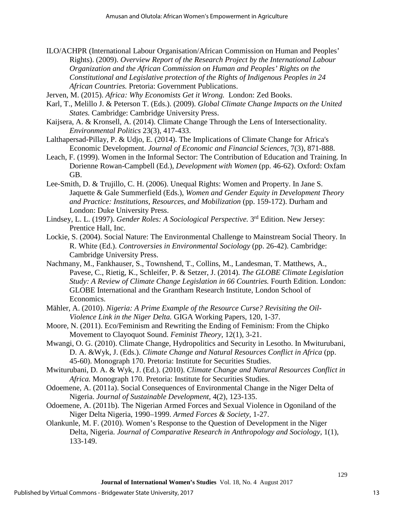ILO/ACHPR (International Labour Organisation/African Commission on Human and Peoples' Rights). (2009). *Overview Report of the Research Project by the International Labour Organization and the African Commission on Human and Peoples' Rights on the Constitutional and Legislative protection of the Rights of Indigenous Peoples in 24 African Countries.* Pretoria: Government Publications.

Jerven, M. (2015). *Africa: Why Economists Get it Wrong.* London: Zed Books.

- Karl, T., Melillo J. & Peterson T. (Eds.). (2009). *Global Climate Change Impacts on the United States.* Cambridge: Cambridge University Press.
- Kaijsera, A. & Kronsell, A. (2014). Climate Change Through the Lens of Intersectionality. *Environmental Politics* 23(3), 417-433.
- Lalthapersad-Pillay, P. & Udjo, E. (2014). The Implications of Climate Change for Africa's Economic Development. *Journal of Economic and Financial Sciences,* 7(3), 871-888.
- Leach, F. (1999). Women in the Informal Sector: The Contribution of Education and Training. In Dorienne Rowan-Campbell (Ed.), *Development with Women* (pp. 46-62). Oxford: Oxfam GB.
- Lee-Smith, D. & Trujillo, C. H. (2006). Unequal Rights: Women and Property. In Jane S. Jaquette & Gale Summerfield (Eds.), *Women and Gender Equity in Development Theory and Practice: Institutions, Resources, and Mobilization* (pp. 159-172). Durham and London: Duke University Press.
- Lindsey, L. L. (1997). *Gender Roles: A Sociological Perspective.* 3rd Edition. New Jersey: Prentice Hall, Inc.
- Lockie, S. (2004). Social Nature: The Environmental Challenge to Mainstream Social Theory. In R. White (Ed.). *Controversies in Environmental Sociology* (pp. 26-42). Cambridge: Cambridge University Press.
- Nachmany, M., Fankhauser, S., Townshend, T., Collins, M., Landesman, T. Matthews, A., Pavese, C., Rietig, K., Schleifer, P. & Setzer, J. (2014). *The GLOBE Climate Legislation Study: A Review of Climate Change Legislation in 66 Countries.* Fourth Edition. London: GLOBE International and the Grantham Research Institute, London School of Economics.
- Mähler, A. (2010). *Nigeria: A Prime Example of the Resource Curse? Revisiting the Oil-Violence Link in the Niger Delta.* GIGA Working Papers, 120, 1-37.
- Moore, N. (2011). Eco/Feminism and Rewriting the Ending of Feminism: From the Chipko Movement to Clayoquot Sound. *Feminist Theory*, 12(1), 3-21.
- Mwangi, O. G. (2010). Climate Change, Hydropolitics and Security in Lesotho. In Mwiturubani, D. A. &Wyk, J. (Eds.). *Climate Change and Natural Resources Conflict in Africa* (pp. 45-60). Monograph 170. Pretoria: Institute for Securities Studies.
- Mwiturubani, D. A. & Wyk, J. (Ed.). (2010). *Climate Change and Natural Resources Conflict in Africa.* Monograph 170. Pretoria: Institute for Securities Studies.
- Odoemene, A. (2011a). Social Consequences of Environmental Change in the Niger Delta of Nigeria. *Journal of Sustainable Development,* 4(2), 123-135.
- Odoemene, A. (2011b). The Nigerian Armed Forces and Sexual Violence in Ogoniland of the Niger Delta Nigeria, 1990–1999. *Armed Forces & Society*, 1-27.
- Olankunle, M. F. (2010). Women's Response to the Question of Development in the Niger Delta, Nigeria. *Journal of Comparative Research in Anthropology and Sociology,* 1(1), 133-149.